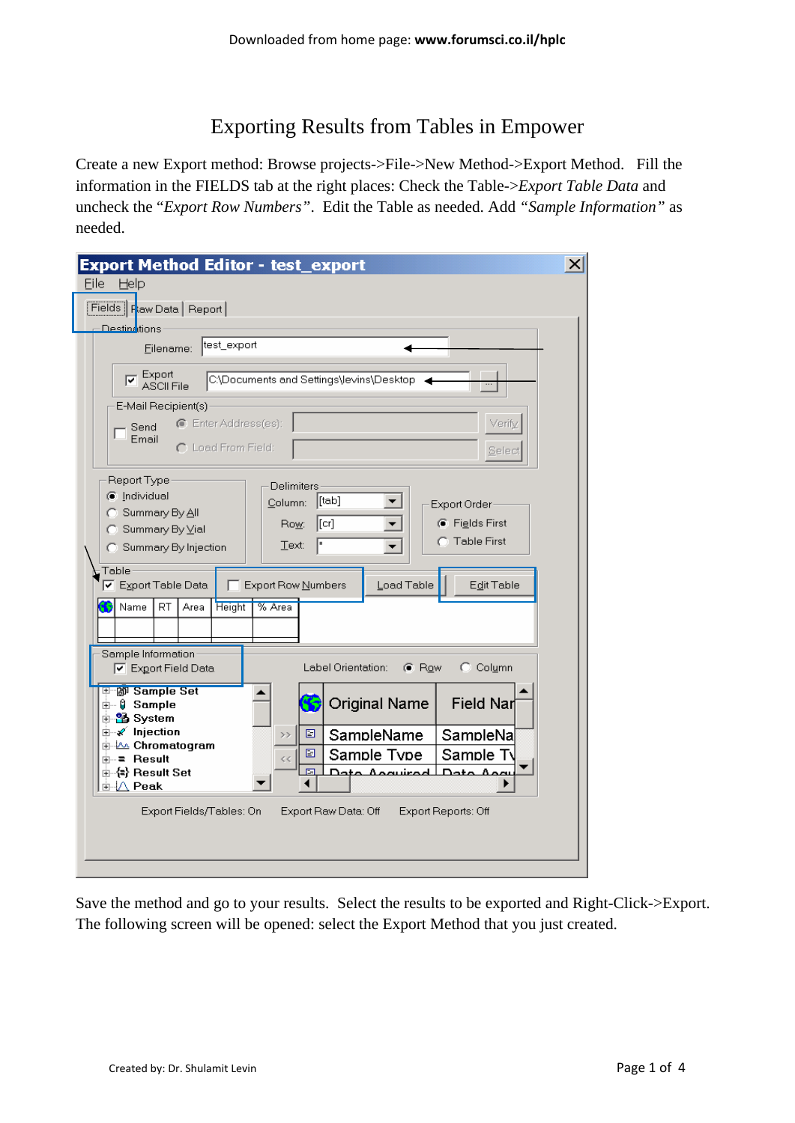## Exporting Results from Tables in Empower

Create a new Export method: Browse projects->File->New Method->Export Method. Fill the information in the FIELDS tab at the right places: Check the Table->*Export Table Data* and uncheck the "*Export Row Numbers"*. Edit the Table as needed. Add *"Sample Information"* as needed.

|                                                                         | <b>Export Method Editor - test_export</b><br>Eile                                                                                                                                                                                                                                                                                                                                                                                                                                                                                          | x |  |  |  |  |  |
|-------------------------------------------------------------------------|--------------------------------------------------------------------------------------------------------------------------------------------------------------------------------------------------------------------------------------------------------------------------------------------------------------------------------------------------------------------------------------------------------------------------------------------------------------------------------------------------------------------------------------------|---|--|--|--|--|--|
|                                                                         | Help<br>Fields   Flaw Data   Report                                                                                                                                                                                                                                                                                                                                                                                                                                                                                                        |   |  |  |  |  |  |
|                                                                         | <b>Destinations</b>                                                                                                                                                                                                                                                                                                                                                                                                                                                                                                                        |   |  |  |  |  |  |
|                                                                         | test_export<br>Eilename:                                                                                                                                                                                                                                                                                                                                                                                                                                                                                                                   |   |  |  |  |  |  |
|                                                                         | <b>I</b><br>IZ ASCII File<br>C:\Documents and Settings\levins\Desktop <                                                                                                                                                                                                                                                                                                                                                                                                                                                                    |   |  |  |  |  |  |
|                                                                         | E-Mail Recipient(s)                                                                                                                                                                                                                                                                                                                                                                                                                                                                                                                        |   |  |  |  |  |  |
|                                                                         | Enter Address(es):<br>Verify<br>Send<br>Email                                                                                                                                                                                                                                                                                                                                                                                                                                                                                              |   |  |  |  |  |  |
|                                                                         | C Load From Field:<br>Select                                                                                                                                                                                                                                                                                                                                                                                                                                                                                                               |   |  |  |  |  |  |
|                                                                         | Report Type<br><b>Delimiters</b><br>c Individual<br>$[$ [tab]<br>Column:<br>Export Order-<br>C Summary By All<br>$\left[\left[\mathsf{cr}\right]\right]$<br>C Fields First<br>Row:<br>○ Summary By Vial<br><b>C</b> Table First<br>ŀ٠<br>Text:<br>Summary By Injection<br>Table<br><b>▽</b> Export Table Data<br>Export Row Numbers<br>Load Table<br>Edit Table<br>Name<br>RT.<br>Area<br><b>Height</b><br>% Area<br>Sample Information<br>$\odot$ Column<br>Label Orientation:<br>$\bullet$ Row<br>$\boxed{\mathbf{v}}$ Export Field Data |   |  |  |  |  |  |
|                                                                         | ⊞™@गे Sample Set<br><b>Original Name</b><br>Field Nar<br>⊕– 0 Sample<br>由 <mark>%</mark> System                                                                                                                                                                                                                                                                                                                                                                                                                                            |   |  |  |  |  |  |
|                                                                         | ∄–√ Injection<br>▣<br>SampleName<br>SampleNa<br>>                                                                                                                                                                                                                                                                                                                                                                                                                                                                                          |   |  |  |  |  |  |
|                                                                         | <b>A.</b> Chromatogram<br>Sample Type<br>Sample Ty<br>▣<br>ங்–= Result<br>$\zeta$ $\zeta$                                                                                                                                                                                                                                                                                                                                                                                                                                                  |   |  |  |  |  |  |
|                                                                         | 国<br>Data Agguired LData Aggu<br>卣- (=) Result Set<br>∄⊹∆ Peak                                                                                                                                                                                                                                                                                                                                                                                                                                                                             |   |  |  |  |  |  |
| Export Fields/Tables: On<br>Export Raw Data: Off<br>Export Reports: Off |                                                                                                                                                                                                                                                                                                                                                                                                                                                                                                                                            |   |  |  |  |  |  |
|                                                                         |                                                                                                                                                                                                                                                                                                                                                                                                                                                                                                                                            |   |  |  |  |  |  |
|                                                                         |                                                                                                                                                                                                                                                                                                                                                                                                                                                                                                                                            |   |  |  |  |  |  |

Save the method and go to your results. Select the results to be exported and Right-Click->Export. The following screen will be opened: select the Export Method that you just created.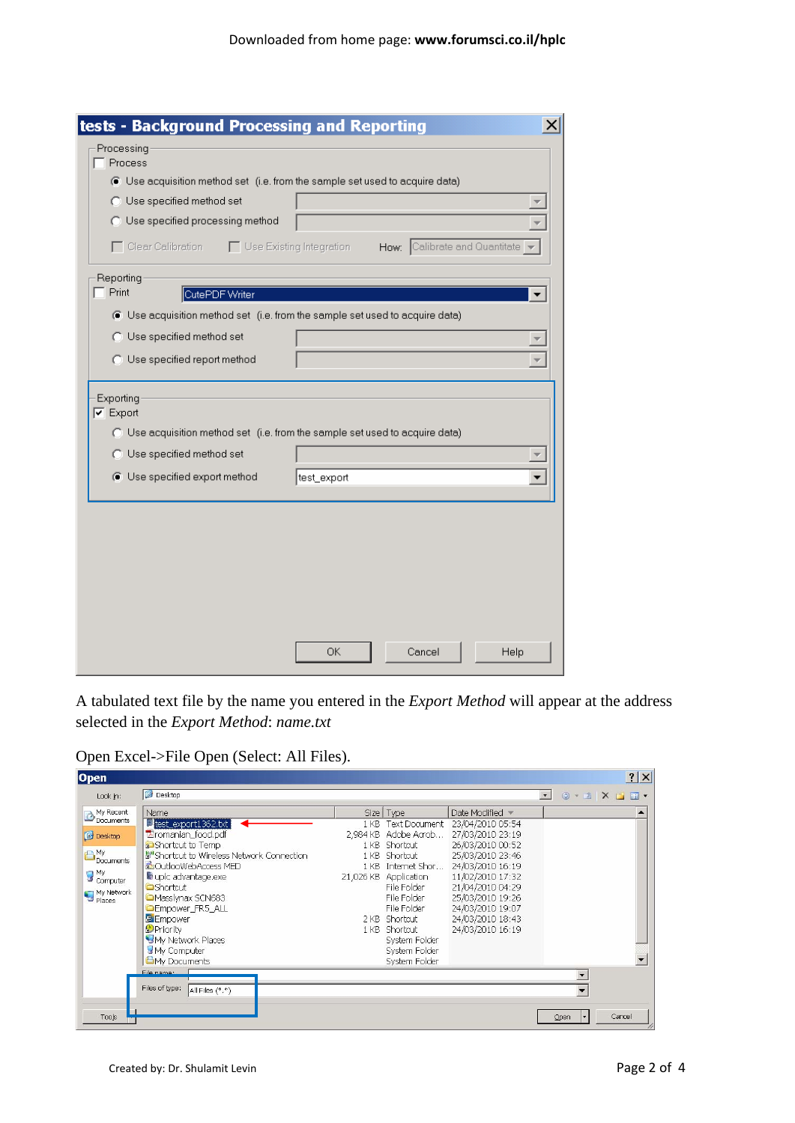| tests - Background Processing and Reporting<br>×                                                             |
|--------------------------------------------------------------------------------------------------------------|
| Processing                                                                                                   |
| Process                                                                                                      |
| C Use acquisition method set (i.e. from the sample set used to acquire data)                                 |
| <b>O</b> Use specified method set                                                                            |
| <b>O</b> Use specified processing method                                                                     |
| □ Use Existing Integration<br>$\Box$ Clear Calibration<br>How: Calibrate and Quantitate                      |
| Reporting                                                                                                    |
| Print<br>CutePDF Writer                                                                                      |
| C Use acquisition method set (i.e. from the sample set used to acquire data)                                 |
| O Use specified method set                                                                                   |
| O Use specified report method                                                                                |
|                                                                                                              |
| Exporting<br>$\nabla$ Export<br>◯ Use acquisition method set (i.e. from the sample set used to acquire data) |
| C Use specified method set                                                                                   |
| C Use specified export method<br>test_export                                                                 |
|                                                                                                              |
|                                                                                                              |
|                                                                                                              |
|                                                                                                              |
|                                                                                                              |
|                                                                                                              |
|                                                                                                              |
|                                                                                                              |
| Cancel<br>ОΚ<br>Help                                                                                         |
|                                                                                                              |

A tabulated text file by the name you entered in the *Export Method* will appear at the address selected in the *Export Method*: *name.txt*

Open Excel->File Open (Select: All Files).

| Desktop<br>$\overline{\phantom{a}}$<br>$\bigcirc$ $\cdot$ $\blacksquare$ $\times$ $\bigcirc$ $\blacksquare$ $\cdot$<br>Look in:<br>My Recent<br>Name<br>Date Modified *<br>Size Type<br>$\blacktriangle$<br>Litest_export1362.bt<br>Text Document 23/04/2010 05:54<br>1 <sub>KB</sub><br>Eromanian_food.pdf<br>2,984 KB Adobe Acrob 27/03/2010 23:19<br>Desktop<br>Shortcut to Temp<br>1 KB Shortcut<br>26/03/2010 00:52<br>My<br>Documents<br>Shortcut to Wireless Network Connection<br>1 KB Shortcut<br>25/03/2010 23:46<br>abOutlooWebAccess MED<br>24/03/2010 16:19<br>1 KB Internet Shor<br>My<br>Computer<br>uplc advantage.exe<br>21,026 KB Application<br>11/02/2010 17:32<br><b>Shortcut</b><br>File Folder<br>21/04/2010 04:29<br>My Network<br>Places<br>Masslynax SCN683<br>File Folder<br>25/03/2010 19:26<br>24/03/2010 19:07<br><b>Empower_FR5_ALL</b><br>File Folder<br>FEmpower<br>24/03/2010 18:43<br>2 KB Shortcut<br><b>O</b> Priority<br>24/03/2010 16:19<br>1 KB Shortcut<br>My Network Places<br>System Folder<br>My Computer<br>System Folder<br><b>C</b> My Documents<br>System Folder<br>File name: | Open      |  |  |  |  | ? X |
|--------------------------------------------------------------------------------------------------------------------------------------------------------------------------------------------------------------------------------------------------------------------------------------------------------------------------------------------------------------------------------------------------------------------------------------------------------------------------------------------------------------------------------------------------------------------------------------------------------------------------------------------------------------------------------------------------------------------------------------------------------------------------------------------------------------------------------------------------------------------------------------------------------------------------------------------------------------------------------------------------------------------------------------------------------------------------------------------------------------------------------|-----------|--|--|--|--|-----|
|                                                                                                                                                                                                                                                                                                                                                                                                                                                                                                                                                                                                                                                                                                                                                                                                                                                                                                                                                                                                                                                                                                                                |           |  |  |  |  |     |
| Files of type:<br>All Files (*.*)                                                                                                                                                                                                                                                                                                                                                                                                                                                                                                                                                                                                                                                                                                                                                                                                                                                                                                                                                                                                                                                                                              | Documents |  |  |  |  |     |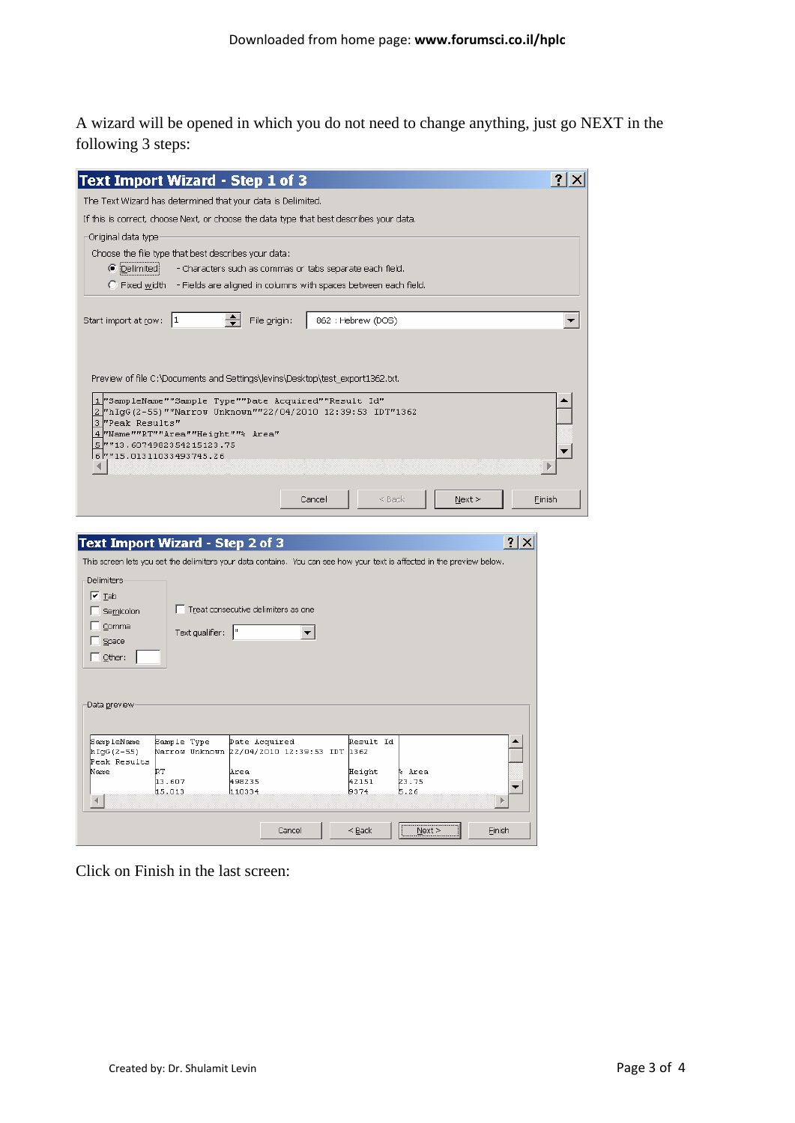A wizard will be opened in which you do not need to change anything, just go NEXT in the following 3 steps:

| <b>Text Import Wizard - Step 1 of 3</b>                                                                                                            |                                                                                        |                                                          |                          |                   |               |        |                       |        |
|----------------------------------------------------------------------------------------------------------------------------------------------------|----------------------------------------------------------------------------------------|----------------------------------------------------------|--------------------------|-------------------|---------------|--------|-----------------------|--------|
| The Text Wizard has determined that your data is Delimited.                                                                                        |                                                                                        |                                                          |                          |                   |               |        |                       |        |
| If this is correct, choose Next, or choose the data type that best describes your data.                                                            |                                                                                        |                                                          |                          |                   |               |        |                       |        |
| Original data type:                                                                                                                                |                                                                                        |                                                          |                          |                   |               |        |                       |        |
| Choose the file type that best describes your data:<br>● <b>Delimited</b>                                                                          | $\bigcirc$ Fixed width - Fields are aligned in columns with spaces between each field. | - Characters such as commas or tabs separate each field. |                          |                   |               |        |                       |        |
|                                                                                                                                                    |                                                                                        |                                                          |                          |                   |               |        |                       |        |
| Start import at row:  1                                                                                                                            |                                                                                        | $\Rightarrow$<br>File origin:                            |                          | 862: Hebrew (DOS) |               |        |                       |        |
|                                                                                                                                                    |                                                                                        |                                                          |                          |                   |               |        |                       |        |
|                                                                                                                                                    |                                                                                        |                                                          |                          |                   |               |        |                       |        |
| Preview of file C:\Documents and Settings\levins\Desktop\test_export1362.txt.                                                                      |                                                                                        |                                                          |                          |                   |               |        |                       |        |
| "SampleName""Sample Type""Date Acquired""Result Id"<br>$\mathbf{1}$<br>"hIgG(2-55)""Narrow Unknown""22/04/2010 12:39:53 IDT"1362<br>$\overline{2}$ |                                                                                        |                                                          |                          |                   |               |        |                       |        |
| "Peak Results"<br>3<br>4 Mame""RT""Area""Height""% Area"                                                                                           |                                                                                        |                                                          |                          |                   |               |        |                       |        |
| <u>5</u> 75 . 13 . 6074982354215123<br>6 7715.01311033493745.26                                                                                    |                                                                                        |                                                          |                          |                   |               |        |                       |        |
|                                                                                                                                                    |                                                                                        |                                                          |                          |                   |               |        |                       |        |
|                                                                                                                                                    |                                                                                        |                                                          |                          |                   |               |        |                       |        |
|                                                                                                                                                    |                                                                                        |                                                          | Cancel                   |                   | $Back$        | Next > |                       | Finish |
|                                                                                                                                                    |                                                                                        |                                                          |                          |                   |               |        |                       |        |
| <b>Text Import Wizard - Step 2 of 3</b>                                                                                                            |                                                                                        |                                                          |                          |                   |               |        | $ ?  \times$          |        |
| This screen lets you set the delimiters your data contains. You can see how your text is affected in the preview below.                            |                                                                                        |                                                          |                          |                   |               |        |                       |        |
| -Delimiters <sup>.</sup>                                                                                                                           |                                                                                        |                                                          |                          |                   |               |        |                       |        |
| $\sqrt{2}$ Tab                                                                                                                                     |                                                                                        |                                                          |                          |                   |               |        |                       |        |
| $\Box$ Semicolon                                                                                                                                   |                                                                                        | Treat consecutive delimiters as one                      |                          |                   |               |        |                       |        |
| Comma                                                                                                                                              | Text gualifier:  "                                                                     |                                                          | $\overline{\phantom{a}}$ |                   |               |        |                       |        |
| <b>Space</b><br>$\Box$ Other:                                                                                                                      |                                                                                        |                                                          |                          |                   |               |        |                       |        |
|                                                                                                                                                    |                                                                                        |                                                          |                          |                   |               |        |                       |        |
|                                                                                                                                                    |                                                                                        |                                                          |                          |                   |               |        |                       |        |
| -Data <u>p</u> review                                                                                                                              |                                                                                        |                                                          |                          |                   |               |        |                       |        |
|                                                                                                                                                    |                                                                                        |                                                          |                          |                   |               |        |                       |        |
|                                                                                                                                                    |                                                                                        |                                                          |                          |                   |               |        |                       |        |
| SampleName                                                                                                                                         | Sample Type                                                                            | Date Acquired                                            |                          | Result Id         |               |        |                       |        |
| hIgG(2-55)<br>Peak Results                                                                                                                         | Narrow Unknown 22/04/2010 12:39:53 IDT 1362                                            |                                                          |                          |                   |               |        |                       |        |
| þТ<br>Name                                                                                                                                         |                                                                                        | Area                                                     |                          | Height            | % Area        |        |                       |        |
|                                                                                                                                                    | 13.607<br>15.013                                                                       | 498235<br>110334                                         |                          | 42151<br>9374     | 23.75<br>5.26 |        | ▼                     |        |
| ◀                                                                                                                                                  |                                                                                        |                                                          |                          |                   |               |        | $\blacktriangleright$ |        |

Click on Finish in the last screen: